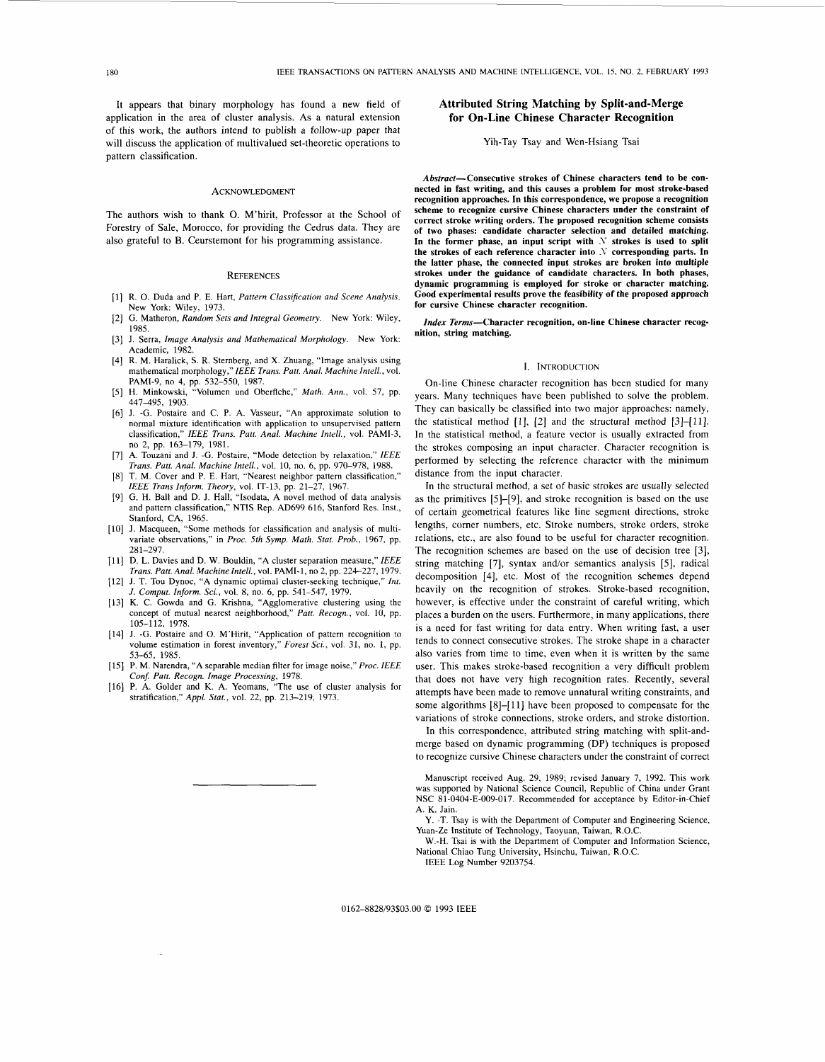It appears that binary morphology has found a new field of application in the area of cluster analysis. **As** a natural extension of this work, the authors intend to publish a follow-up paper that will discuss the application of multivalued set-theoretic operations to pattern classification.

#### **ACKNOWLEDGMENT**

The authors wish to thank O. M'hirit, Professor at the School of Forestry of Sale, Morocco, for providing the Cedrus data. They are

### **REFERENCES**

- R. 0. Duda and P. E. Hart, *Pattern Classification and Scene Analysis.*  New York: Wiley, 1973.
- G. Matheron, *Random Sets and Integral Geometry.* New York: Wiley, 1985.
- J. Serra, *Image Analysis and Mathematical Morphology.* New York:  $[3]$ Academic, 1982.
- R. M. Haralick, **S.** R. Sternberg, and X. Zhuang, "Image analysis using mathematical morphology," *IEEE Trans. Putt. Anal. Machine Intell.,* vol. PAMI-9, no 4, pp. 532-550, 1987.
- H. Minkowski, "Volumen und Oberflche," *Math. Ann.,* vol. 57, pp.  $[5]$ 447-495, 1903.
- [6] J. -G. Postaire and C. P. A. Vasseur, "An approximate solution to normal mixture identification with application to unsupervised pattern classification," *IEEE Trans. Putt. Anal. Machine Intell.,* vol. PAMI-3, no 2, pp. 163-179, 1981.
- A. Touzani and J. -G. Postaire, "Mode detection by relaxation," *IEEE*   $[7]$ *Trans. Putt. Anal. Machine Intell.,* **vol.** 10, no. 6, pp. 970-978, 1988.
- $[8]$ T. M. Cover and **P.** E. Hart, "Nearest neighbor pattern classification,"
- *IEEE Trans Inform. Theory,* vol. IT-13, pp. 21-27, 1967. G. H. Ball and D. J. Hall, "Isodata, A novel method of data analysis and pattern classification," NTIS Rep. AD699 616, Stanford Res. Inst., -{9] Stanford, CA, 1965. **J.** Macqueen, "Some methods for classification and analysis of multi-
- variate observations," in *Proc. 5th Symp. Math. Stat. Prob.,* 1967, pp. 281-297.
- D. L. Davies and D. W. Bouldin, **"A** cluster separation measure," *IEEE Trans. Part. Anal. Machinelntell.,* vol. PAMI-1, no 2, pp. 224-227, 1979.
- [12] J. T. Tou Dynoc, "A dynamic optimal cluster-seeking technique," Int. *J. Comput. Inform. Sci.,* vol. *8,* no. **6,** pp. 541-547, 1979.
- [13] K. C. Gowda and G. Krishna, "Agglomerative clustering using the concept of mutual nearest neighborhood," Patt. Recogn., vol. 10, pp. 105-112, 1978.
- [14] J. -G. Postaire and O. M'Hirit, "Application of pattern recognition to volume estimation in forest inventory," *Forest Sci.,* vol. 31, no. 1, pp. 53-65, 1985.
- **P.** M. Narendra, **"A** separable median filter for image noise," *Proc. IEEE*
- *Conf: Putt. Recogn. Image Processing,* 1978. P. **A.** Golder and K. A. Yeomans, "The **use** of cluster analysis for stratification," *Appl. Stat.,* vol. 22, pp. 213-219, 1973.

# **Attributed String Matching by Split-and-Merge for On-Line Chinese Character Recognition**

Yih-Tay Tsay and Wen-Hsiang Tsai

Abstract-Consecutive strokes of Chinese characters tend to be con**nected in fast writing, and this causes a problem for most stroke-based recognition approaches. In this correspondence, we propose a recognition** .. scheme to recognize cursive Chinese characters under the constraint of **correct stroke writing orders. The proposed recognition scheme consists of two phases: candidate character selection and detailed matching.**  also grateful to B. Ceurstemont for his programming assistance. **In the former phase, an input script with**  $N$  strokes is used to split **the strokes of each reference character into** .Y **corresponding parts. In the latter phase, the connected input strokes are broken into multiple strokes under the guidance of candidate characters. In both phases, dynamic programming is employed for stroke or character matching. Good experimental results prove the feasibility of the proposed approach for cursive Chinese character recognition.** 

> *Index* **Terms-Character recognition, on-line Chinese character recognition, string matching.**

#### **I. INTRODUCTION**

On-line Chinese character recognition has been studied for many years. Many techniques have been published to solve the problem. They can basically be classified into two major approaches: namely, the statistical method  $[1]$ ,  $[2]$  and the structural method  $[3]$ - $[11]$ . In the statistical method, a feature vector is usually extracted from the strokes composing an input character. Character recognition is performed by selecting the reference character with the minimum distance from the input character.

In the structural method, a set of basic strokes are usually selected as the primitives [5]-[9], and stroke recognition is based on the use of certain geometrical features like line segment directions, stroke lengths, corner numbers, etc. Stroke numbers, stroke orders, stroke relations, etc., are also found to be useful for character recognition. The recognition schemes are based on the use of decision tree *[3],*  string matching *[7],* syntax and/or semantics analysis *[5],* radical decomposition [4], etc. Most of the recognition schemes depend heavily on the recognition of strokes. Stroke-based recognition, however, is effective under the constraint of careful writing, which places a burden on the users. Furthermore, in many applications, there is a need for fast writing for data entry. When writing fast, a user tends to connect consecutive strokes. The stroke shape in a character also varies from time to time, even when it is written by the same user. This makes stroke-based recognition a very difficult problem that does not have very high recognition rates. Recently, several attempts have been made to remove unnatural writing constraints, and some algorithms [8]-[11] have been proposed to compensate for the variations of stroke connections, stroke orders, and stroke distortion.

In this correspondence, attributed string matching with split-andmerge based on dynamic programming (DP) techniques is proposed to recognize cursive Chinese characters under the constraint of correct

Manuscript received Aug. 29, 1989; revised January 7, 1992. This work was supported by National Science Council, Republic of China under Grant NSC 81-0404-E-009-017, Recommended for acceptance by Editor-in-Chief A. K. Jain.

Y. -T. Tsay is with the Department of Computer and Engineering Science, Yuan-Ze Institute of Technology, Taoyuan, Taiwan, R.O.C.

W.-H. Tsai is with the Department of Computer and Information Science, National Chiao Tung University, Hsinchu, Taiwan, R.O.C.

IEEE Log Number 9203754.

0162-8828/93\$03,00 *0* 1993 IEEE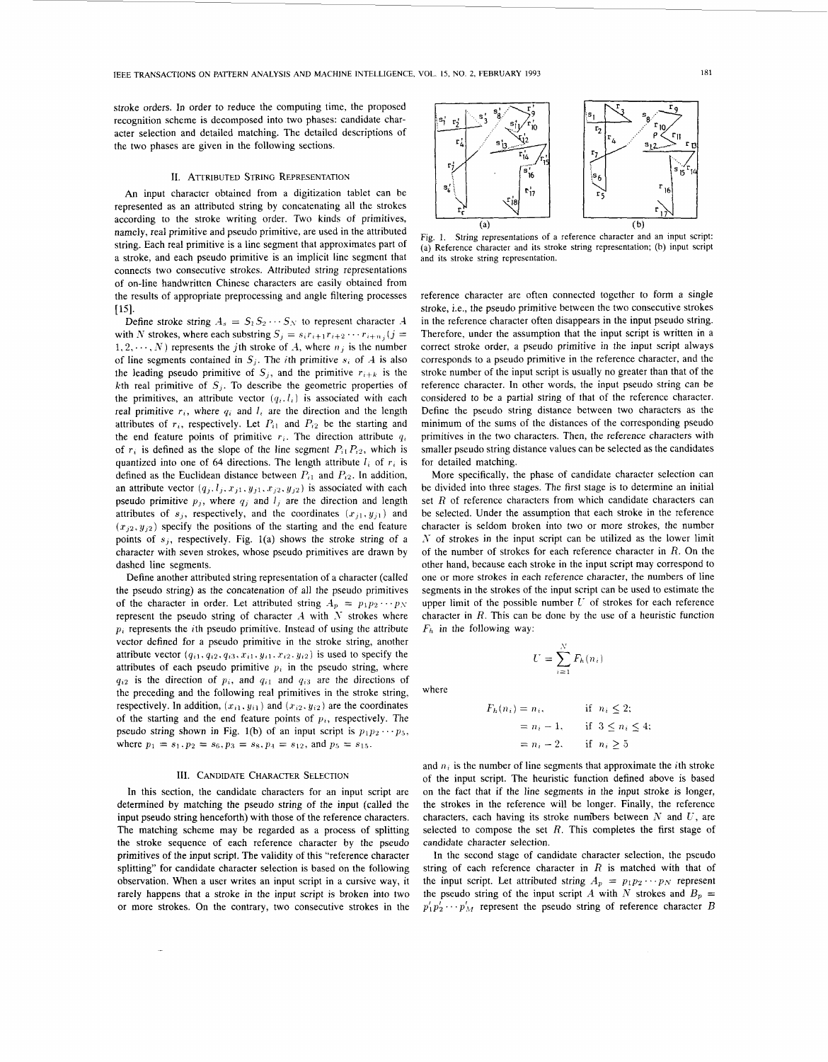<span id="page-1-0"></span>stroke orders. In order to reduce the computing time, the proposed recognition scheme is decomposed into two phases: candidate character selection and detailed matching. The detailed descriptions of the two phases are given in the following sections.

### **11.** ATTRIBUTED STRING REPRESENTATION

*An* input character obtained from a digitization tablet can be represented as an attributed string by concatenating all the strokes according to the stroke writing order. Two kinds of primitives, namely, real primitive and pseudo primitive, are used in the attributed string. Each real primitive is a line segment that approximates part of a stroke, and each pseudo primitive is an implicit line segment that connects two consecutive strokes. Attributed string representations of on-line handwritten Chinese characters are easily obtained from the results of appropriate preprocessing and angle filtering processes  $[15]$ .

Define stroke string  $A_s = S_1 S_2 \cdots S_N$  to represent character A with *N* strokes, where each substring  $S_j = s_i r_{i+1} r_{i+2} \cdots r_{i+n_j}$  (*j* =  $1, 2, \dots, N$ ) represents the *j*th stroke of  $A$ , where  $n_i$  is the number of line segments contained in  $S_i$ . The *i*th primitive  $s_i$  of  $A$  is also the leading pseudo primitive of  $S_i$ , and the primitive  $r_{i+k}$  is the kth real primitive of  $S_j$ . To describe the geometric properties of the primitives, an attribute vector  $(q_i, l_i)$  is associated with each real primitive  $r_i$ , where  $q_i$  and  $l_i$  are the direction and the length attributes of  $r_i$ , respectively. Let  $P_{i1}$  and  $P_{i2}$  be the starting and the end feature points of primitive  $r_i$ . The direction attribute  $q_i$ of  $r_i$  is defined as the slope of the line segment  $P_{i1}P_{i2}$ , which is quantized into one of **64** directions. The length attribute *I,* of *r,* is defined as the Euclidean distance between  $P_{i1}$  and  $P_{i2}$ . In addition, an attribute vector  $(q_j, l_j, x_{j1}, y_{j1}, x_{j2}, y_{j2})$  is associated with each pseudo primitive  $p_j$ , where  $q_j$  and  $l_j$  are the direction and length attributes of  $s_i$ , respectively, and the coordinates  $(x_{i1}, y_{i1})$  and  $(x_{i2}, y_{i2})$  specify the positions of the starting and the end feature points of *s),* respectively. Fig. l(a) shows the stroke string of a character with seven strokes, whose pseudo primitives are drawn by dashed line segments.

Define another attributed string representation of a character (called the pseudo string) as the concatenation of all the pseudo primitives of the character in order. Let attributed string  $A_p = p_1 p_2 \cdots p_N$ represent the pseudo string of character  $A$  with  $N$  strokes where  $p_i$  represents the *i*th pseudo primitive. Instead of using the attribute vector defined for a pseudo primitive in the stroke string, another attribute vector  $(q_{i1}, q_{i2}, q_{i3}, x_{i1}, y_{i1}, x_{i2}, y_{i2})$  is used to specify the attributes of each pseudo primitive  $p_i$  in the pseudo string, where  $q_{i2}$  is the direction of  $p_i$ , and  $q_{i1}$  and  $q_{i3}$  are the directions of the preceding and the following real primitives in the stroke string, respectively. In addition,  $(x_{i1}, y_{i1})$  and  $(x_{i2}, y_{i2})$  are the coordinates of the starting and the end feature points of  $p_i$ , respectively. The pseudo string shown in Fig. 1(b) of an input script is  $p_1p_2 \cdots p_5$ , where  $p_1 = s_1$ ,  $p_2 = s_6$ ,  $p_3 = s_8$ ,  $p_4 = s_{12}$ , and  $p_5 = s_{15}$ .

## III. CANDIDATE CHARACTER SELECTION

In this section, the candidate characters for an input script are determined by matching the pseudo string of the input (called the input pseudo string henceforth) with those of the reference characters. The matching scheme may be regarded as a process of splitting the stroke sequence of each reference character by the pseudo primitives of the input script. The validity of this "reference character splitting" for candidate character selection is based on the following observation. When a user writes an input script in a cursive way, it rarely happens that a stroke in the input script is broken into two or more strokes. On the contrary, two consecutive strokes in the



Fig. 1. String representations of a reference character and an input script: (a) Reference character and its stroke string representation; (b) input script and its stroke string representation.

reference character are often connected together to form a single stroke, i.e., the pseudo primitive between the two consecutive strokes in the reference character often disappears in the input pseudo string. Therefore, under the assumption that the input script is written in a correct stroke order, a pseudo primitive in the input script always corresponds to a pseudo primitive in the reference character, and the stroke number of the input script is usually no greater than that of the reference character. In other words, the input pseudo string can be considered to be a partial string of that of the reference character. Define the pseudo string distance between two characters as the minimum of the sums of the distances of the corresponding pseudo primitives in the two characters. Then, the reference characters with smaller pseudo string distance values can be selected as the candidates for detailed matching.

More specifically, the phase of candidate character selection can be divided into three stages. The first stage is to determine an initial set *R* of reference characters from which candidate characters can be selected. Under the assumption that each stroke in the reference character is seldom broken into two or more strokes, the number  $N$  of strokes in the input script can be utilized as the lower limit of the number of strokes for each reference character in *R.* On the other hand, because each stroke in the input script may correspond to one or more strokes in each reference character, the numbers of line segments in the strokes of the input script can be used to estimate the upper limit of the possible number  $U$  of strokes for each reference character in *R.* This can be done by the use of a heuristic function *Fh* in the following way:

$$
\quad \text{where} \quad
$$

$$
F_h(n_i) = n_i,
$$
 if  $n_i \leq 2$ ;  
=  $n_i - 1$ , if  $3 \leq n_i \leq 4$ ;  
=  $n_i - 2$ , if  $n_i \geq 5$ 

 $U = \sum_{i=1}^N F_h(n_i)$ 

and  $n_i$  is the number of line segments that approximate the *i*th stroke of the input script. The heuristic function defined above is based on the fact that if the line segments in the input stroke is longer, the strokes in the reference will be longer. Finally, the reference characters, each having its stroke numbers between  $N$  and  $U$ , are selected to compose the set  $R$ . This completes the first stage of candidate character selection.

In the second stage of candidate character selection, the pseudo string of each reference character in *R* is matched with that of the input script. Let attributed string  $A_p = p_1 p_2 \cdots p_N$  represent the pseudo string of the input script A with N strokes and  $B_p =$  $p'_1 p'_2 \cdots p'_M$  represent the pseudo string of reference character *B*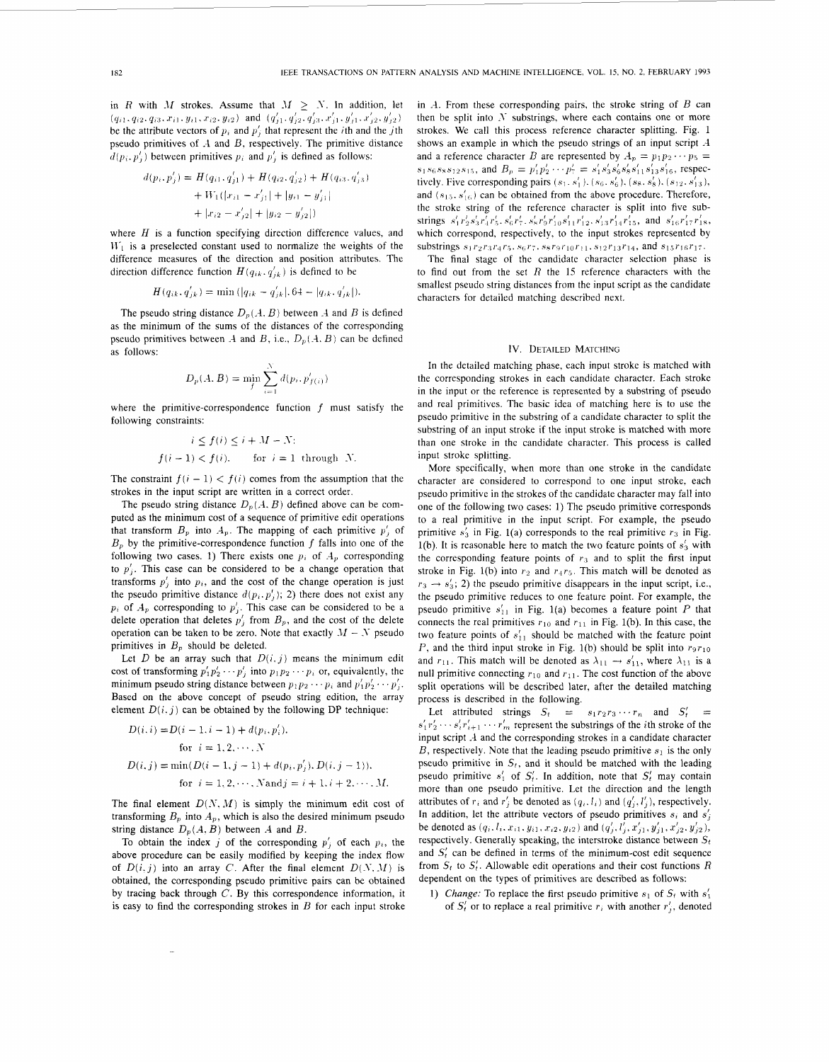in *R* with *M* strokes. Assume that  $M \geq N$ . In addition, let  $(q_{i1}, q_{i2}, q_{i3}, x_{i1}, y_{i1}, x_{i2}, y_{i2})$  and  $(q'_{j1}, q'_{j2}, q'_{j3}, x'_{j1}, y'_{j1}, x'_{j2}, y'_{j2})$  then be split in be the attribute vectors of  $p_i$  and  $p'_i$  that represent the *i*th and the *j*th pseudo primitives of A and B, respectively. The primitive distance  $d(p_i, p'_i)$  between primitives  $p_i$  and  $p'_i$  is defined as follows:

$$
d(p_i, p'_j) = H(q_{i1}, q'_{j1}) + H(q_{i2}, q'_{j2}) + H(q_{i3}, q'_{j3})
$$
  
+ 
$$
W_1([x_{i1} - x'_{j1}] + |y_{i1} - y'_{j1}| + |x_{i2} - x'_{j2}|)
$$

where *H* is a function specifying direction difference values, and  $W_1$  is a preselected constant used to normalize the weights of the difference measures of the direction and position attributes. The direction difference function  $H(q_{ik}, q'_{ik})$  is defined to be

$$
H(q_{ik}, q'_{jk}) = \min(|q_{ik} - q'_{jk}|, 64 - |q_{ik}, q'_{jk}|).
$$

The pseudo string distance  $D_p(A, B)$  between  $A$  and  $B$  is defined as the minimum of the sums of the distances of the corresponding pseudo primitives between  $A$  and  $B$ , i.e.,  $D_p(A, B)$  can be defined as follows:

$$
D_p(A, B) = \min_{f} \sum_{i=1}^{N} d(p_i, p'_{f(i)})
$$

where the primitive-correspondence function *f* must satisfy the following constraints:

$$
i \le f(i) \le i + M - N;
$$
  

$$
f(i-1) < f(i), \quad \text{for } i = 1 \text{ through } N.
$$

The constraint  $f(i - 1) < f(i)$  comes from the assumption that the strokes in the input script are written in a correct order.

The pseudo string distance  $D_p(A, B)$  defined above can be computed as the minimum cost of a sequence of primitive edit operations that transform  $B_p$  into  $A_p$ . The mapping of each primitive  $p'_i$  of  $B<sub>p</sub>$  by the primitive-correspondence function  $f$  falls into one of the following two cases. 1) There exists one  $p_i$  of  $A_p$  corresponding to  $p'_i$ . This case can be considered to be a change operation that transforms  $p_i$  into  $p_i$ , and the cost of the change operation is just the pseudo primitive distance  $d(p_i, p'_i)$ ; 2) there does not exist any  $p_i$  of  $A_p$  corresponding to  $p'_i$ . This case can be considered to be a delete operation that deletes  $p'_i$  from  $B_p$ , and the cost of the delete operation can be taken to be zero. Note that exactly  $M - N$  pseudo primitives in  $B_p$  should be deleted.

Let  $D$  be an array such that  $D(i, j)$  means the minimum edit cost of transforming  $p'_1 p'_2 \cdots p'_i$  into  $p_1 p_2 \cdots p_i$  or, equivalently, the minimum pseudo string distance between  $p_1p_2 \cdots p_i$  and  $p'_1p'_2 \cdots p'_i$ . Based on the above concept of pseudo string edition, the array element  $D(i, j)$  can be obtained by the following DP technique:

$$
D(i, i) = D(i - 1, i - 1) + d(p_i, p'_i),
$$
  
for  $i = 1, 2, \dots, N$   

$$
D(i, j) = \min(D(i - 1, j - 1) + d(p_i, p'_j), D(i, j - 1)),
$$
  
for  $i = 1, 2, \dots, N$  and  $j = i + 1, i + 2, \dots, M$ .

The final element  $D(N, M)$  is simply the minimum edit cost of transforming  $B_p$  into  $A_p$ , which is also the desired minimum pseudo string distance  $D_p(A, B)$  between A and B.

To obtain the index  $j$  of the corresponding  $p'_{i}$  of each  $p_{i}$ , the above procedure can be easily modified by keeping the index flow of  $D(i, j)$  into an array *C*. After the final element  $D(N, M)$  is obtained, the corresponding pseudo primitive pairs can be obtained by tracing back through  $C$ . By this correspondence information, it is easy to find the corresponding strokes in *B* for each input stroke in -4. From these corresponding pairs, the stroke string of *B* can then be split into **-Y** substrings, where each contains one or more strokes. We call this process reference character splitting. [Fig. 1](#page-1-0) shows an example in which the pseudo strings of an input script **A**  and a reference character *B* are represented by  $A_p = p_1 p_2 \cdots p_5 =$  $s_1s_6s_8s_{12}s_{15}$ , and  $B_p = p'_1p'_2 \cdots p'_7 = s'_1s'_3s'_6s'_8s'_{11}s'_{13}s'_{16}$ , respectively. Five corresponding pairs  $(s_1, s'_1)$ .  $(s_6, s'_6)$ ,  $(s_8, s'_8)$ ,  $(s_{12}, s'_{13})$ , and  $(s_{15}, s'_{16})$  can be obtained from the above procedure. Therefore, the stroke string of the reference character is split into five substrings  $s'_1r'_2s'_3r'_4r'_5$ ,  $s'_6r'_7$ ,  $s'_8r'_9r'_{10}s'_{11}r'_{12}$ ,  $s'_{13}r'_{14}r'_{15}$ , and  $s'_{16}r'_{17}r'_{18}$ , which correspond, respectively, to the input strokes represented by substrings  $s_1 r_2 r_3 r_4 r_5$ .  $s_6 r_7$ .  $s_8 r_9 r_{10} r_{11}$ .  $s_{12} r_{13} r_{14}$ , and  $s_{15} r_{16} r_{17}$ .

The final stage of the candidate character selection phase is to find out from the set *R* the 15 reference characters with the smallest pseudo string distances from the input script as the candidate characters for detailed matching described next.

## **IV.** DETAILED MATCHING

In the detailed matching phase, each input stroke is matched with the corresponding strokes in each candidate character. Each stroke in the input or the reference is represented by a substring of pseudo and real primitives. The basic idea of matching here is to use the pseudo primitive in the substring of a candidate character to split the substring of an input stroke if the input stroke is matched with more than one stroke in the candidate character. This process is called input stroke splitting.

More specifically, when more than one stroke in the candidate character are considered to correspond to one input stroke, each pseudo primitive in the strokes of the candidate character may fall into one of the following two cases: 1) The pseudo primitive corresponds to a real primitive in the input script. For example, the pseudo primitive  $s'_3$  in Fig. 1(a) corresponds to the real primitive  $r_3$  in Fig. 1(b). It is reasonable here to match the two feature points of  $s'_3$  with the corresponding feature points of  $r<sub>3</sub>$  and to split the first input stroke in Fig. 1(b) into  $r_2$  and  $r_4r_5$ . This match will be denoted as  $r_3 \rightarrow s'_3$ ; 2) the pseudo primitive disappears in the input script, i.e., the pseudo primitive reduces to one feature point. For example, the pseudo primitive  $s'_{11}$  in Fig. 1(a) becomes a feature point P that connects the real primitives  $r_{10}$  and  $r_{11}$  in Fig. 1(b). In this case, the two feature points of  $s'_{11}$  should be matched with the feature point *P*, and the third input stroke in Fig. 1(b) should be split into  $r_9r_{10}$ and  $r_{11}$ . This match will be denoted as  $\lambda_{11} \rightarrow s'_{11}$ , where  $\lambda_{11}$  is a null primitive connecting  $r_{10}$  and  $r_{11}$ . The cost function of the above split operations will be described later, after the detailed matching process is described in the following.

Let attributed strings  $S_t = s_1 r_2 r_3 \cdots r_n$  and  $S'_t =$ input script  $A$  and the corresponding strokes in a candidate character *B*, respectively. Note that the leading pseudo primitive  $s_1$  is the only pseudo primitive in  $S_t$ , and it should be matched with the leading pseudo primitive  $s'_1$  of  $S'_1$ . In addition, note that  $S'_1$  may contain more than one pseudo primitive. Let the direction and the length attributes of  $r_i$  and  $r'_j$  be denoted as  $(q_i, l_i)$  and  $(q'_j, l'_j)$ , respectively. In addition, let the attribute vectors of pseudo primitives  $s_i$  and  $s'_i$ be denoted as  $(q_i, l_i, x_{i1}, y_{i1}, x_{i2}, y_{i2})$  and  $(q'_j, l'_j, x'_{j1}, y'_{j1}, x'_{j2}, y'_{j2}),$ respectively. Generally speaking, the interstroke distance between  $S_t$ and  $S_t$  can be defined in terms of the minimum-cost edit sequence from  $S_t$  to  $S'_t$ . Allowable edit operations and their cost functions  $R$ dependent on the types of primitives are described as follows:  $s'_1r'_2\cdots s'_ir'_{i+1}\cdots r'_m$  represent the substrings of the *i*th stroke of the

1) *Change:* To replace the first pseudo primitive  $s_1$  of  $S_t$  with  $s'_1$ of  $S_t'$  or to replace a real primitive  $r_i$  with another  $r'_i$ , denoted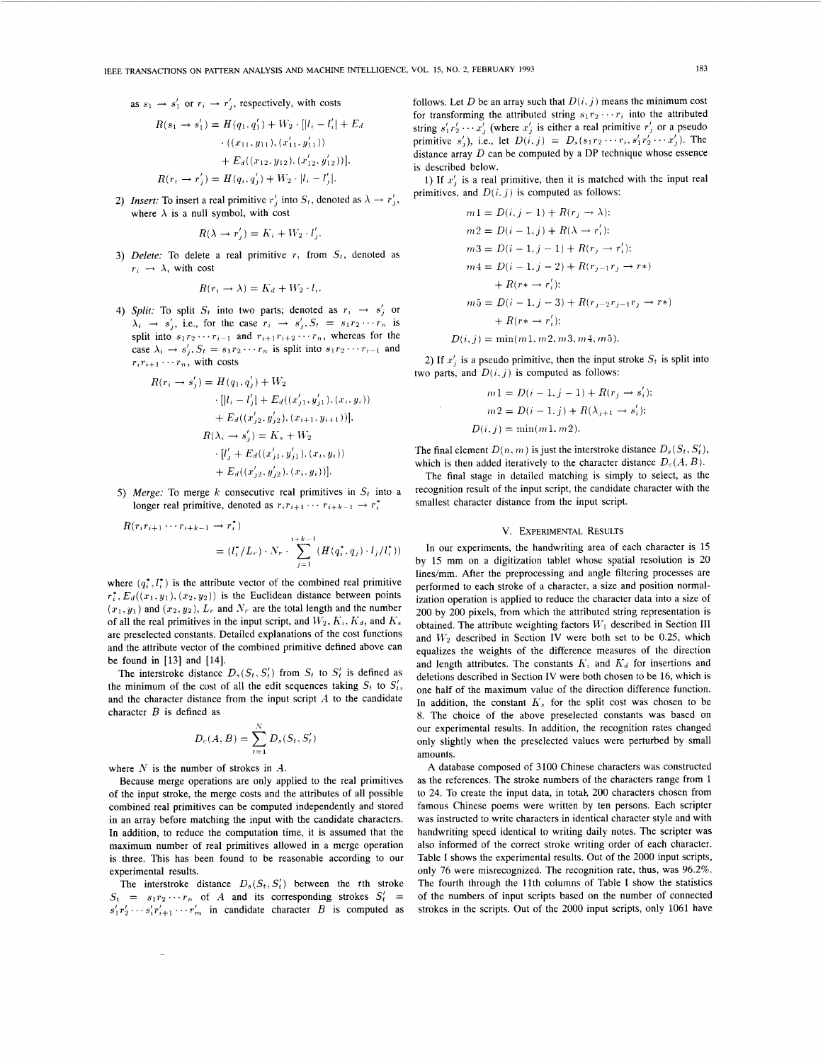as  $s_1 \rightarrow s'_1$  or  $r_i \rightarrow r'_i$ , respectively, with costs

$$
R(s_1 \rightarrow s'_1) = H(q_1, q'_1) + W_2 \cdot [|l_i - l'_i| + E_d
$$
  
\n
$$
\cdot ((x_{11}, y_{11}), (x'_{11}, y'_{11}))
$$
  
\n
$$
+ E_d((x_{12}, y_{12}), (x'_{12}, y'_{12}))].
$$
  
\n
$$
R(r_i \rightarrow r'_i) = H(q_i, q'_i) + W_2 \cdot |l_i - l'_i|.
$$

*Insert:* To insert a real primitive  $r'_i$  into  $S_t$ , denoted as  $\lambda \rightarrow r'_i$ , where  $\lambda$  is a null symbol, with cost

$$
R(\lambda \to r'_j) = K_i + W_2 \cdot l'_j.
$$

3) *Delete:* To delete a real primitive  $r_i$  from  $S_t$ , denoted as  $r_i \rightarrow \lambda$ , with cost

$$
R(r_i \to \lambda) = K_d + W_2 \cdot l_i.
$$

4) *Split:* To split  $S_t$  into two parts; denoted as  $r_i \rightarrow s'_i$  or  $\lambda_i \rightarrow s'_i$ , i.e., for the case  $r_i \rightarrow s'_j$ ,  $S_t = s_1 r_2 \cdots r_n$  is split into  $s_1r_2 \cdots r_{i-1}$  and  $r_{i+1}r_{i+2} \cdots r_n$ , whereas for the case  $\lambda_i \rightarrow s'_i$ ,  $S_t = s_1 r_2 \cdots r_n$  is split into  $s_1 r_2 \cdots r_{i-1}$  and  $r_i r_{i+1} \cdots r_n$ , with costs

$$
R(r_i \rightarrow s'_j) = H(q_1, q'_j) + W_2
$$
  
\n
$$
\cdot [[l_i - l'_j] + E_d((x'_{j1}, y'_{j1}), (x_i, y_i))
$$
  
\n
$$
+ E_d((x'_{j2}, y'_{j2}), (x_{i+1}, y_{i+1}))],
$$
  
\n
$$
R(\lambda_i \rightarrow s'_j) = K_s + W_2
$$
  
\n
$$
\cdot [l'_j + E_d((x'_{j1}, y'_{j1}), (x_i, y_i))
$$
  
\n
$$
+ E_d((x'_{j2}, y'_{j2}), (x_i, y_i))].
$$

5) Merge: To merge *k* consecutive real primitives in  $S_t$  into a longer real primitive, denoted as  $r_i r_{i+1} \cdots r_{i+k-1} \rightarrow r_i^*$ 

$$
1 \cdots r_{i+k-1} \to r_i^{\tau}
$$
  
=  $(l_i^{\tau}/L_r) \cdot N_r \cdot \sum_{j=1}^{i+k-1} (H(q_i^{\tau}, q_j) \cdot l_j/l_i^{\tau}))$ 

where  $(q_i^*, l_i^*)$  is the attribute vector of the combined real primitive  $r_i^*$ ,  $E_d((x_1, y_1), (x_2, y_2))$  is the Euclidean distance between points  $(x_1, y_1)$  and  $(x_2, y_2)$ ,  $L_r$  and  $N_r$  are the total length and the number of all the real primitives in the input script, and  $W_2, K_i, K_d$ , and  $K_s$ are preselected constants. Detailed explanations of the cost functions and the attribute vector of the combined primitive defined above can be found in [13] and [14].

The interstroke distance  $D_s(S_t, S_t')$  from  $S_t$  to  $S_t'$  is defined as the minimum of the cost of all the edit sequences taking  $S_t$  to  $S'_t$ , and the character distance from the input script **A** to the candidate character *B* is defined as

$$
D_c(A, B) = \sum_{t=1}^N D_s(S_t, S'_t)
$$

where *N* is the number of strokes in *A.* 

 $R(r_i r_{i+1})$ 

Because merge operations are only applied to the real primitives of the input stroke, the merge costs and the attributes of all possible combined real primitives can be computed independently and stored in an array before matching the input with the candidate characters. **In** addition, to reduce the computation time, it is assumed that the maximum number of real primitives allowed in a merge operation is three. This has been found to be reasonable according to our experimental results.

The interstroke distance  $D_s(S_t, S_t')$  between the tth stroke  $S_t = s_1 r_2 \cdots r_n$  of *A* and its corresponding strokes  $S_t' =$  $s'_1r'_2 \cdots s'_ir'_{i+1} \cdots r'_m$  in candidate character *B* is computed as

follows. Let *D* be an array such that  $D(i, j)$  means the minimum cost for transforming the attributed string  $s_1 r_2 \cdots r_i$  into the attributed string  $s'_1 r'_2 \cdots r'_i$  (where  $r'_i$  is either a real primitive  $r'_i$  or a pseudo primitive  $s'_{j}$ , i.e., let  $D(i, j) = D_{s}(s_{1}r_{2} \cdots r_{i}, s'_{1}r'_{2} \cdots r'_{j})$ . The distance array *D* can be computed by a DP technique whose essence is described below.

1) If  $x_i$  is a real primitive, then it is matched with the input real primitives, and  $D(i, j)$  is computed as follows:

$$
m1 = D(i, j - 1) + R(r_j \rightarrow \lambda);
$$
  
\n
$$
m2 = D(i - 1, j) + R(\lambda \rightarrow r'_i);
$$
  
\n
$$
m3 = D(i - 1, j - 1) + R(r_j \rightarrow r'_i);
$$
  
\n
$$
m4 = D(i - 1, j - 2) + R(r_{j-1}r_j \rightarrow r*)
$$
  
\n
$$
+ R(r*\rightarrow r'_i);
$$
  
\n
$$
m5 = D(i - 1, j - 3) + R(r_{j-2}r_{j-1}r_j \rightarrow r*)
$$
  
\n
$$
+ R(r*\rightarrow r'_i);
$$

 $D(i, j) = \min(m1, m2, m3, m4, m5).$ 

 $\hat{\boldsymbol{\gamma}}$ 

2) If  $x_i$  is a pseudo primitive, then the input stroke  $S_t$  is split into two parts, and  $D(i, j)$  is computed as follows:

$$
m1 = D(i - 1, j - 1) + R(r_j \to s'_i);
$$
  
\n
$$
m2 = D(i - 1, j) + R(\lambda_{j+1} \to s'_i);
$$
  
\n
$$
D(i, j) = \min(m1, m2).
$$

The final element  $D(n, m)$  is just the interstroke distance  $D_s(S_t, S'_t)$ , which is then added iteratively to the character distance  $D_c(A, B)$ .

The final stage in detailed matching is simply to select, as the recognition result of the input script, the candidate character with the smallest character distance from the input script.

## **V. EXPERIMENTAL RESULTS**

In our experiments, the handwriting area of each character is 15 by 15 mm on a digitization tablet whose spatial resolution is 20 lines/mm. After the preprocessing and angle filtering processes are performed to each stroke of a character, a size and position normalization operation is applied to reduce the character data into a size of 200 by 200 pixels, from which the attributed string representation is obtained. The attribute weighting factors  $W_1$  described in Section III and *W2* described in Section IV were both set to be 0.25, which equalizes the weights of the difference measures of the direction and length attributes. The constants  $K_i$  and  $K_d$  for insertions and deletions described in Section **IV** were both chosen to be 16, which is one half of the maximum value of the direction difference function. In addition, the constant  $K<sub>s</sub>$  for the split cost was chosen to be 8. The choice of the above preselected constants was based on our experimental results. In addition, the recognition rates changed only slightly when the preselected values were perturbed by small amounts.

**A** database composed of 3100 Chinese characters was constructed as the references. The stroke numbers of the characters range from 1 to 24. To create the input data, in totah, 200 characters chosen from famous Chinese poems were written by ten persons. Each scripter was instructed to write characters in identical character style and with handwriting speed identical to writing daily notes. The scripter was also informed of the correct stroke writing order of each character. Table I shows the experimental results. Out of the 2000 input scripts, only 76 were misrecognized. The recognition rate, thus, was 96.2%. The fourth through the 11th columns of Table I show the statistics of the numbers of input scripts based on the number of connected strokes in the scripts. Out of the 2000 input scripts, only 1061 have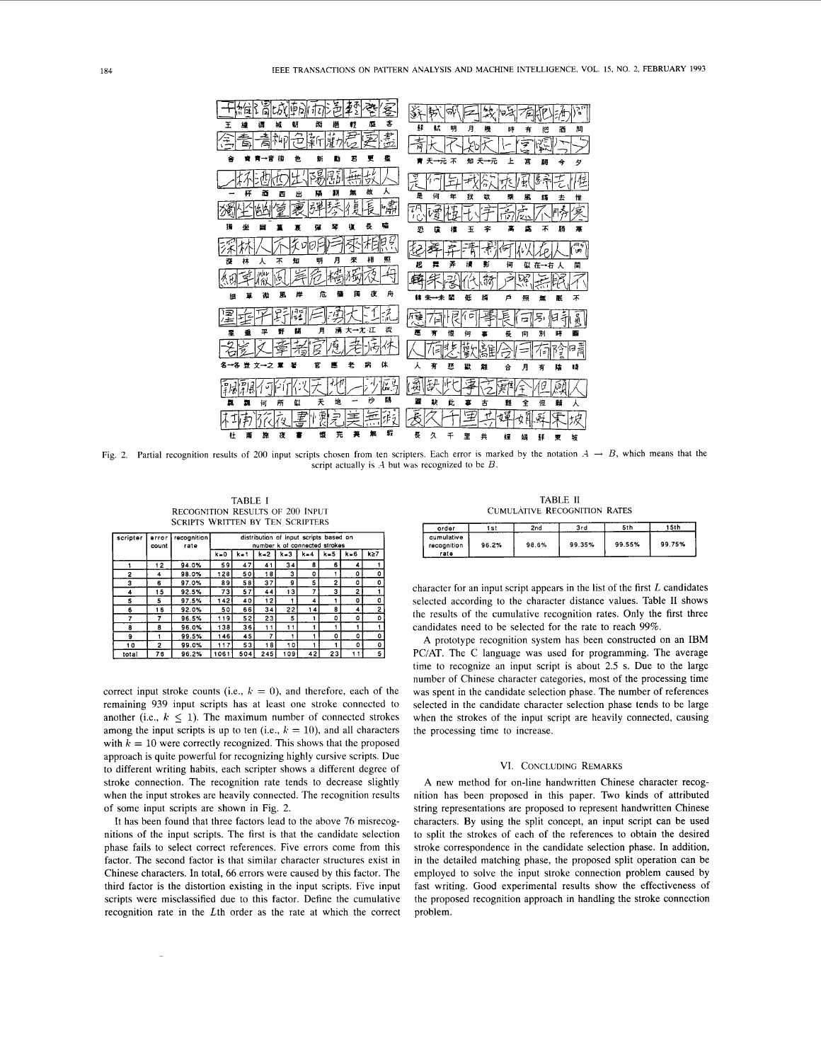

Fig. 2. Partial recognition results of 200 input scripts chosen from ten scripters. Each error is marked by the notation  $A \rightarrow B$ , which means that the script actually is .4 but was recognized to be *B*.

TABLE I RECOGNITION RESULTS OF *200* INPUT SCRIPTS WRITTEN BY TEN SCRIPTERS

| scripter | error<br>count | recognition<br>rate | distribution of input scripts based on<br>number k of connected strokes |         |         |         |         |          |          |          |
|----------|----------------|---------------------|-------------------------------------------------------------------------|---------|---------|---------|---------|----------|----------|----------|
|          |                |                     | $k = 0$                                                                 | $k = 1$ | $k = 2$ | $k = 3$ | $k = 4$ | $k = 5$  | $k = 6$  | k≥7      |
|          | 12             | 94.0%               | 59                                                                      | 47      | 41      | 34      | 8       | 6        | 4        |          |
| 2        | 4              | 98.0%               | 128                                                                     | 50      | 18      | 3       | O       |          | $\Omega$ | $\Omega$ |
| з        | 6              | 97.0%               | 89                                                                      | 58      | 37      | я       | 5       | 2        | $\Omega$ | 0        |
| 4        | 15             | 92.5%               | 73                                                                      | 57      | 44      | 13      |         | з        | 2        |          |
| 5        | 5              | 97.5%               | 142                                                                     | 40      | 12      |         | 4       |          | 0        | $\Omega$ |
| 6        | 16             | 92.0%               | 50                                                                      | 66      | 34      | 22      | 4       | 8        | 4        | 2        |
| 7        |                | 96.5%               | 119                                                                     | 52      | 23      | 5       |         | o        | $\circ$  | ٥        |
| 8        | R              | 96.0%               | 138                                                                     | 36      | 11      | 11      |         |          |          |          |
| 9        |                | 99.5%               | 146                                                                     | 45      | 7       |         |         | $\Omega$ | Ω        | $\Omega$ |
| 10       | 2              | 99.0%               | 117                                                                     | 53      | 18      | 10      |         |          | ٥        | $\Omega$ |
| total    | 76             | 96.2%               | 1061                                                                    | 504     | 245     | 109     | 42      | 23       |          | 5        |

correct input stroke counts (i.e.,  $k = 0$ ), and therefore, each of the remaining 939 input scripts has at least one stroke connected to another (i.e.,  $k \leq 1$ ). The maximum number of connected strokes among the input scripts is up to ten (i.e.,  $k = 10$ ), and all characters with  $k = 10$  were correctly recognized. This shows that the proposed approach is quite powerful for recognizing highly cursive scripts. Due to different writing habits, each scripter shows a different degree of stroke connection. The recognition rate tends to decrease slightly when the input strokes are heavily connected. The recognition results of some input scripts are shown in Fig. 2.

It has been found that three factors lead to the above 76 misrecognitions of the input scripts. The first is that the candidate selection phase fails to select correct references. Five errors come from this factor. The second factor is that similar character structures exist in Chinese characters. In total, **66** errors were caused by this factor. The third factor is the distortion existing in the input scripts. Five input scripts were misclassified due to this factor. Define the cumulative recognition rate in the Lth order as the rate at which the correct

TABLE II **CUMULÁTIVE RECOGNITION RATES** 

| order                             | 1 s t | 2nd   | 3rd    | 5th    | 15th   |
|-----------------------------------|-------|-------|--------|--------|--------|
| cumulative<br>recognition<br>rate | 96.2% | 98.6% | 99.35% | 99.55% | 99.75% |

character for an input script appears in the list of the first *L* candidates selected according to the character distance values. Table **I1** shows the results of the cumulative recognition rates. Only the first three candidates need to be selected for the rate to reach 99%.

A prototype recognition system has been constructed on an IBM PC/AT. The C language was used for programming. The average time to recognize an input script is about 2.5 **s.** Due to the large number of Chinese character categories, most of the processing time was spent in the candidate selection phase. The number of references selected in the candidate character selection phase tends to be large when the strokes of the input script are heavily connected, causing the processing time to increase.

# VI. CONCLUDING REMARKS

A new method for on-line handwritten Chinese character recognition has been proposed in this paper. Two kinds of attributed string representations are proposed to represent handwritten Chinese characters. By using the split concept, an input script can be used to split the strokes of each of the references to obtain the desired stroke correspondence in the candidate selection phase. In addition, in the detailed matching phase, the proposed split operation can be employed to solve the input stroke connection problem caused by fast writing. Good experimental results show the effectiveness of the proposed recognition approach in handling the stroke connection problem.